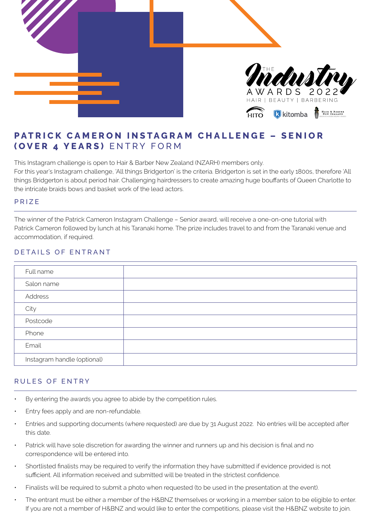

# **PATRICK CAMERON INSTAGRAM CHALLENGE - SENIOR (OVER 4 YEARS)** ENTRY FORM

This Instagram challenge is open to Hair & Barber New Zealand (NZARH) members only. For this year's Instagram challenge, 'All things Bridgerton' is the criteria. Bridgerton is set in the early 1800s, therefore 'All things Bridgerton is about period hair. Challenging hairdressers to create amazing huge bouffants of Queen Charlotte to the intricate braids bows and basket work of the lead actors.

### PRIZE

The winner of the Patrick Cameron Instagram Challenge – Senior award, will receive a one-on-one tutorial with Patrick Cameron followed by lunch at his Taranaki home. The prize includes travel to and from the Taranaki venue and accommodation, if required.

### DETAILS OF ENTRANT

| Full name                   |  |
|-----------------------------|--|
| Salon name                  |  |
| Address                     |  |
| City                        |  |
| Postcode                    |  |
| Phone                       |  |
| Email                       |  |
| Instagram handle (optional) |  |

## RULES OF ENTRY

- By entering the awards you agree to abide by the competition rules.
- Entry fees apply and are non-refundable.
- Entries and supporting documents (where requested) are due by 31 August 2022. No entries will be accepted after this date.
- Patrick will have sole discretion for awarding the winner and runners up and his decision is final and no correspondence will be entered into.
- Shortlisted finalists may be required to verify the information they have submitted if evidence provided is not sufficient. All information received and submitted will be treated in the strictest confidence.
- Finalists will be required to submit a photo when requested (to be used in the presentation at the event).
- The entrant must be either a member of the H&BNZ themselves or working in a member salon to be eligible to enter. If you are not a member of H&BNZ and would like to enter the competitions, please visit the H&BNZ website to join.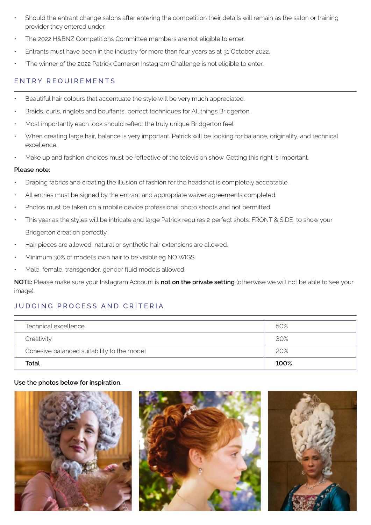- Should the entrant change salons after entering the competition their details will remain as the salon or training provider they entered under.
- The 2022 H&BNZ Competitions Committee members are not eligible to enter.
- Entrants must have been in the industry for more than four years as at 31 October 2022.
- 'The winner of the 2022 Patrick Cameron Instagram Challenge is not eligible to enter.

# ENTRY REQUIREMENTS

- Beautiful hair colours that accentuate the style will be very much appreciated.
- Braids, curls, ringlets and bouffants, perfect techniques for All things Bridgerton.
- Most importantly each look should reflect the truly unique Bridgerton feel.
- When creating large hair, balance is very important. Patrick will be looking for balance, originality, and technical excellence.
- Make up and fashion choices must be reflective of the television show. Getting this right is important.

### **Please note:**

- Draping fabrics and creating the illusion of fashion for the headshot is completely acceptable.
- All entries must be signed by the entrant and appropriate waiver agreements completed.
- Photos must be taken on a mobile device professional photo shoots and not permitted.
- This year as the styles will be intricate and large Patrick requires 2 perfect shots: FRONT & SIDE, to show your Bridgerton creation perfectly.
- Hair pieces are allowed, natural or synthetic hair extensions are allowed.
- Minimum 30% of model's own hair to be visible.eg NO WIGS.
- Male, female, transgender, gender fluid models allowed.

**NOTE:** Please make sure your Instagram Account is **not on the private setting** (otherwise we will not be able to see your image).

# JUDGING PROCESS AND CRITERIA

| Technical excellence                       | 50%  |
|--------------------------------------------|------|
| Creativity                                 | 30%  |
| Cohesive balanced suitability to the model | 20%  |
| Total                                      | 100% |

### **Use the photos below for inspiration.**

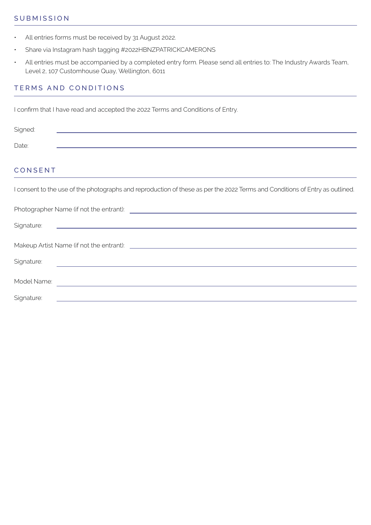### **SUBMISSION**

- All entries forms must be received by 31 August 2022.
- Share via Instagram hash tagging #2022HBNZPATRICKCAMERONS
- All entries must be accompanied by a completed entry form. Please send all entries to: The Industry Awards Team, Level 2, 107 Customhouse Quay, Wellington, 6011

# TERMS AND CONDITIONS

I confirm that I have read and accepted the 2022 Terms and Conditions of Entry.

| Signed: |  |
|---------|--|
| Date:   |  |

## CONSENT

I consent to the use of the photographs and reproduction of these as per the 2022 Terms and Conditions of Entry as outlined.

| Signature:  |                                                                                                                       |  |
|-------------|-----------------------------------------------------------------------------------------------------------------------|--|
|             |                                                                                                                       |  |
|             |                                                                                                                       |  |
| Signature:  | <u> 1980 - Johann Marie Barn, mars an t-Amerikaansk ferhandsk foarmen († 1918)</u>                                    |  |
|             |                                                                                                                       |  |
| Model Name: | <u> 1989 - John Stein, Amerikaansk politiker (* 1958)</u>                                                             |  |
|             |                                                                                                                       |  |
| Signature:  | <u> 1980 - Johann Stoff, deutscher Stoff, der Stoff, der Stoff, der Stoff, der Stoff, der Stoff, der Stoff, der S</u> |  |